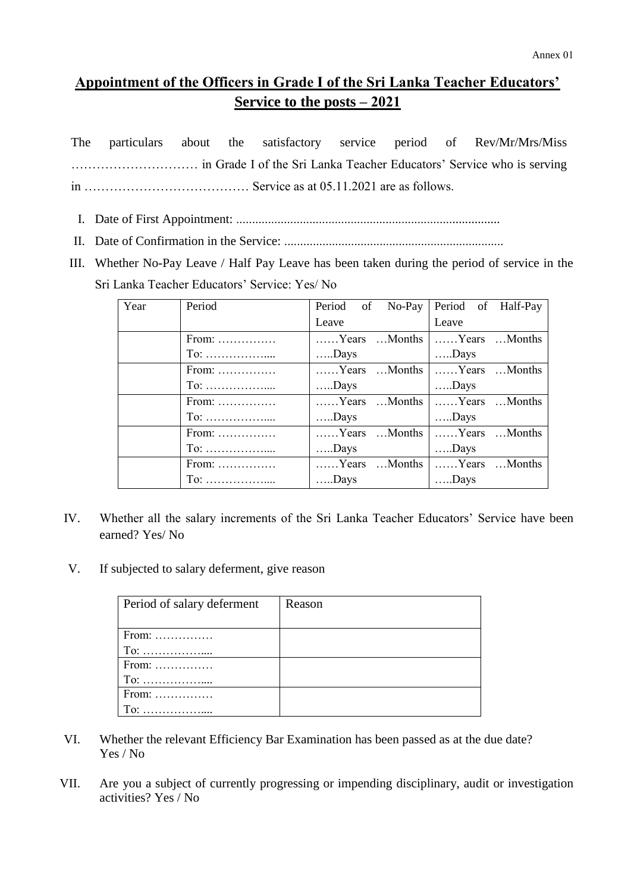## **Appointment of the Officers in Grade I of the Sri Lanka Teacher Educators' Service to the posts – 2021**

|  |  |  |  | The particulars about the satisfactory service period of Rev/Mr/Mrs/Miss |
|--|--|--|--|--------------------------------------------------------------------------|
|  |  |  |  |                                                                          |
|  |  |  |  |                                                                          |

- I. Date of First Appointment: ...................................................................................
- II. Date of Confirmation in the Service: .....................................................................
- III. Whether No-Pay Leave / Half Pay Leave has been taken during the period of service in the Sri Lanka Teacher Educators' Service: Yes/ No

| Year | Period                                   | of No-Pay<br>Period | Period of Half-Pay          |
|------|------------------------------------------|---------------------|-----------------------------|
|      |                                          | Leave               | Leave                       |
|      | From:                                    | Years Months        | Years Months                |
|      | $To: \ldots \ldots \ldots \ldots \ldots$ | $\dots$ Days        | $\dots$ Days                |
|      | From:                                    | Years Months        | Years Months                |
|      | $To: \ldots \ldots \ldots \ldots \ldots$ | $Days$              | $\dots$ Days                |
|      | From:                                    | Years Months        | Years Months                |
|      | $To: \ldots \ldots \ldots \ldots \ldots$ | Days                | $\dots$ Days                |
|      | $From: \ldots \ldots \ldots \ldots$      | Years Months        | Years Months                |
|      | $To: \ldots \ldots \ldots \ldots \ldots$ | $\dots$ Days        | $\dots$ Days                |
|      | $From: \ldots \ldots \ldots \ldots$      |                     | Years Months   Years Months |
|      | $To: \ldots \ldots \ldots \ldots \ldots$ | $\dots$ Days        | $\dots$ Days                |

- IV. Whether all the salary increments of the Sri Lanka Teacher Educators' Service have been earned? Yes/ No
- V. If subjected to salary deferment, give reason

| Period of salary deferment           | Reason |
|--------------------------------------|--------|
|                                      |        |
| From:                                |        |
| $To: \ldots, \ldots, \ldots, \ldots$ |        |
| $From: \ldots \ldots \ldots \ldots$  |        |
| $To: \ldots, \ldots, \ldots, \ldots$ |        |
| $From: \ldots \ldots \ldots \ldots$  |        |
| To:                                  |        |

- VI. Whether the relevant Efficiency Bar Examination has been passed as at the due date? Yes / No
- VII. Are you a subject of currently progressing or impending disciplinary, audit or investigation activities? Yes / No